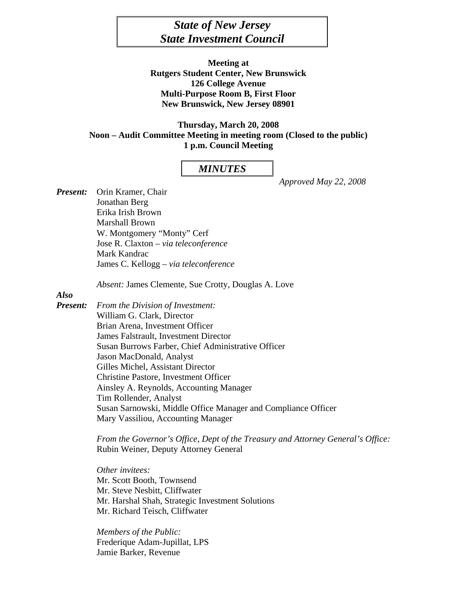# *State of New Jersey State Investment Council*

**Meeting at Rutgers Student Center, New Brunswick 126 College Avenue Multi-Purpose Room B, First Floor New Brunswick, New Jersey 08901** 

**Thursday, March 20, 2008 Noon – Audit Committee Meeting in meeting room (Closed to the public) 1 p.m. Council Meeting** 

### *MINUTES*

 *Approved May 22, 2008* 

*Present:* Orin Kramer, Chair Jonathan Berg Erika Irish Brown Marshall Brown W. Montgomery "Monty" Cerf Jose R. Claxton – *via teleconference*  Mark Kandrac James C. Kellogg – *via teleconference* 

*Absent:* James Clemente, Sue Crotty, Douglas A. Love

# *Also*

*Present: From the Division of Investment:*  William G. Clark, Director Brian Arena, Investment Officer James Falstrault, Investment Director Susan Burrows Farber, Chief Administrative Officer Jason MacDonald, Analyst Gilles Michel, Assistant Director Christine Pastore, Investment Officer Ainsley A. Reynolds, Accounting Manager Tim Rollender, Analyst Susan Sarnowski, Middle Office Manager and Compliance Officer Mary Vassiliou, Accounting Manager

> *From the Governor's Office, Dept of the Treasury and Attorney General's Office:*  Rubin Weiner, Deputy Attorney General

*Other invitees:*  Mr. Scott Booth, Townsend Mr. Steve Nesbitt, Cliffwater Mr. Harshal Shah, Strategic Investment Solutions Mr. Richard Teisch, Cliffwater

 *Members of the Public:* Frederique Adam-Jupillat, LPS Jamie Barker, Revenue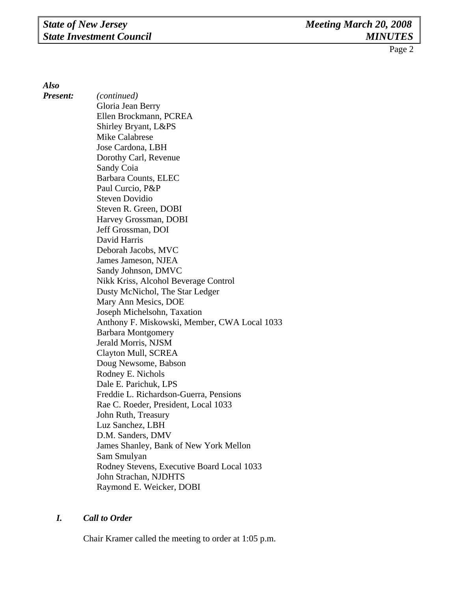*Also* 

*Present: (continued)*  Gloria Jean Berry Ellen Brockmann, PCREA Shirley Bryant, L&PS Mike Calabrese Jose Cardona, LBH Dorothy Carl, Revenue Sandy Coia Barbara Counts, ELEC Paul Curcio, P&P Steven Dovidio Steven R. Green, DOBI Harvey Grossman, DOBI Jeff Grossman, DOI David Harris Deborah Jacobs, MVC James Jameson, NJEA Sandy Johnson, DMVC Nikk Kriss, Alcohol Beverage Control Dusty McNichol, The Star Ledger Mary Ann Mesics, DOE Joseph Michelsohn, Taxation Anthony F. Miskowski, Member, CWA Local 1033 Barbara Montgomery Jerald Morris, NJSM Clayton Mull, SCREA Doug Newsome, Babson Rodney E. Nichols Dale E. Parichuk, LPS Freddie L. Richardson-Guerra, Pensions Rae C. Roeder, President, Local 1033 John Ruth, Treasury Luz Sanchez, LBH D.M. Sanders, DMV James Shanley, Bank of New York Mellon Sam Smulyan Rodney Stevens, Executive Board Local 1033 John Strachan, NJDHTS Raymond E. Weicker, DOBI

# *I. Call to Order*

Chair Kramer called the meeting to order at 1:05 p.m.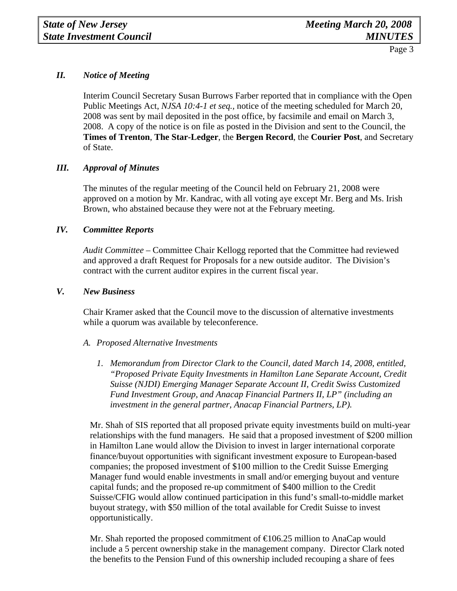# *II. Notice of Meeting*

 Interim Council Secretary Susan Burrows Farber reported that in compliance with the Open Public Meetings Act, *NJSA 10:4-1 et seq.,* notice of the meeting scheduled for March 20, 2008 was sent by mail deposited in the post office, by facsimile and email on March 3, 2008. A copy of the notice is on file as posted in the Division and sent to the Council, the **Times of Trenton**, **The Star-Ledger**, the **Bergen Record**, the **Courier Post**, and Secretary of State.

# *III. Approval of Minutes*

The minutes of the regular meeting of the Council held on February 21, 2008 were approved on a motion by Mr. Kandrac, with all voting aye except Mr. Berg and Ms. Irish Brown, who abstained because they were not at the February meeting.

### *IV. Committee Reports*

*Audit Committee –* Committee Chair Kellogg reported that the Committee had reviewed and approved a draft Request for Proposals for a new outside auditor. The Division's contract with the current auditor expires in the current fiscal year.

#### *V. New Business*

Chair Kramer asked that the Council move to the discussion of alternative investments while a quorum was available by teleconference.

#### *A. Proposed Alternative Investments*

*1. Memorandum from Director Clark to the Council, dated March 14, 2008, entitled, "Proposed Private Equity Investments in Hamilton Lane Separate Account, Credit Suisse (NJDI) Emerging Manager Separate Account II, Credit Swiss Customized Fund Investment Group, and Anacap Financial Partners II, LP" (including an investment in the general partner, Anacap Financial Partners, LP).* 

Mr. Shah of SIS reported that all proposed private equity investments build on multi-year relationships with the fund managers. He said that a proposed investment of \$200 million in Hamilton Lane would allow the Division to invest in larger international corporate finance/buyout opportunities with significant investment exposure to European-based companies; the proposed investment of \$100 million to the Credit Suisse Emerging Manager fund would enable investments in small and/or emerging buyout and venture capital funds; and the proposed re-up commitment of \$400 million to the Credit Suisse/CFIG would allow continued participation in this fund's small-to-middle market buyout strategy, with \$50 million of the total available for Credit Suisse to invest opportunistically.

Mr. Shah reported the proposed commitment of  $\epsilon$  (106.25 million to AnaCap would include a 5 percent ownership stake in the management company. Director Clark noted the benefits to the Pension Fund of this ownership included recouping a share of fees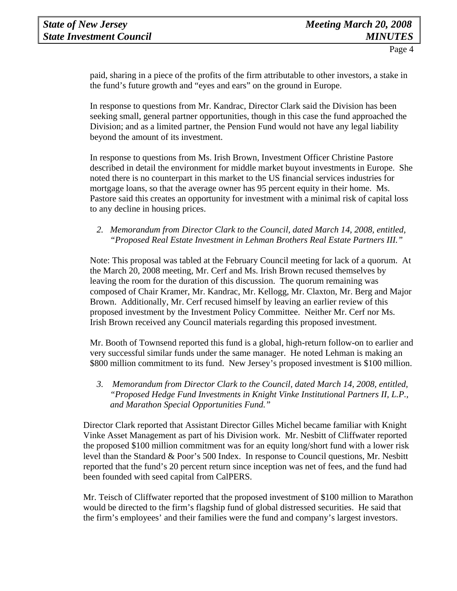paid, sharing in a piece of the profits of the firm attributable to other investors, a stake in the fund's future growth and "eyes and ears" on the ground in Europe.

In response to questions from Mr. Kandrac, Director Clark said the Division has been seeking small, general partner opportunities, though in this case the fund approached the Division; and as a limited partner, the Pension Fund would not have any legal liability beyond the amount of its investment.

In response to questions from Ms. Irish Brown, Investment Officer Christine Pastore described in detail the environment for middle market buyout investments in Europe. She noted there is no counterpart in this market to the US financial services industries for mortgage loans, so that the average owner has 95 percent equity in their home. Ms. Pastore said this creates an opportunity for investment with a minimal risk of capital loss to any decline in housing prices.

# *2. Memorandum from Director Clark to the Council, dated March 14, 2008, entitled, "Proposed Real Estate Investment in Lehman Brothers Real Estate Partners III."*

Note: This proposal was tabled at the February Council meeting for lack of a quorum. At the March 20, 2008 meeting, Mr. Cerf and Ms. Irish Brown recused themselves by leaving the room for the duration of this discussion. The quorum remaining was composed of Chair Kramer, Mr. Kandrac, Mr. Kellogg, Mr. Claxton, Mr. Berg and Major Brown. Additionally, Mr. Cerf recused himself by leaving an earlier review of this proposed investment by the Investment Policy Committee. Neither Mr. Cerf nor Ms. Irish Brown received any Council materials regarding this proposed investment.

Mr. Booth of Townsend reported this fund is a global, high-return follow-on to earlier and very successful similar funds under the same manager. He noted Lehman is making an \$800 million commitment to its fund. New Jersey's proposed investment is \$100 million.

*3. Memorandum from Director Clark to the Council, dated March 14, 2008, entitled, "Proposed Hedge Fund Investments in Knight Vinke Institutional Partners II, L.P., and Marathon Special Opportunities Fund."* 

Director Clark reported that Assistant Director Gilles Michel became familiar with Knight Vinke Asset Management as part of his Division work. Mr. Nesbitt of Cliffwater reported the proposed \$100 million commitment was for an equity long/short fund with a lower risk level than the Standard & Poor's 500 Index. In response to Council questions, Mr. Nesbitt reported that the fund's 20 percent return since inception was net of fees, and the fund had been founded with seed capital from CalPERS.

Mr. Teisch of Cliffwater reported that the proposed investment of \$100 million to Marathon would be directed to the firm's flagship fund of global distressed securities. He said that the firm's employees' and their families were the fund and company's largest investors.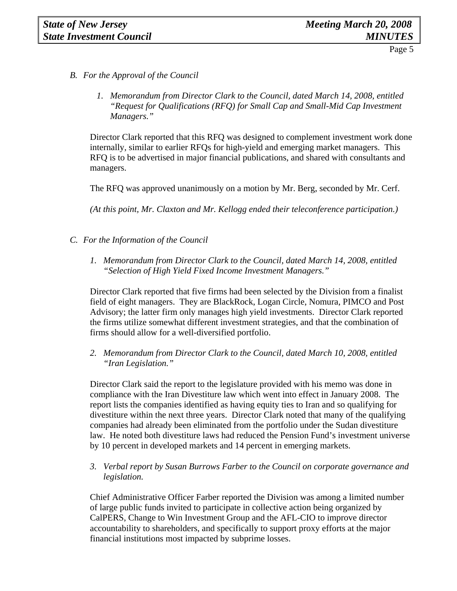- *B. For the Approval of the Council*
	- *1. Memorandum from Director Clark to the Council, dated March 14, 2008, entitled "Request for Qualifications (RFQ) for Small Cap and Small-Mid Cap Investment Managers."*

Director Clark reported that this RFQ was designed to complement investment work done internally, similar to earlier RFQs for high-yield and emerging market managers. This RFQ is to be advertised in major financial publications, and shared with consultants and managers.

The RFQ was approved unanimously on a motion by Mr. Berg, seconded by Mr. Cerf.

*(At this point, Mr. Claxton and Mr. Kellogg ended their teleconference participation.)* 

- *C. For the Information of the Council*
	- *1. Memorandum from Director Clark to the Council, dated March 14, 2008, entitled "Selection of High Yield Fixed Income Investment Managers."*

Director Clark reported that five firms had been selected by the Division from a finalist field of eight managers. They are BlackRock, Logan Circle, Nomura, PIMCO and Post Advisory; the latter firm only manages high yield investments. Director Clark reported the firms utilize somewhat different investment strategies, and that the combination of firms should allow for a well-diversified portfolio.

*2. Memorandum from Director Clark to the Council, dated March 10, 2008, entitled "Iran Legislation."* 

Director Clark said the report to the legislature provided with his memo was done in compliance with the Iran Divestiture law which went into effect in January 2008. The report lists the companies identified as having equity ties to Iran and so qualifying for divestiture within the next three years. Director Clark noted that many of the qualifying companies had already been eliminated from the portfolio under the Sudan divestiture law. He noted both divestiture laws had reduced the Pension Fund's investment universe by 10 percent in developed markets and 14 percent in emerging markets.

*3. Verbal report by Susan Burrows Farber to the Council on corporate governance and legislation.* 

Chief Administrative Officer Farber reported the Division was among a limited number of large public funds invited to participate in collective action being organized by CalPERS, Change to Win Investment Group and the AFL-CIO to improve director accountability to shareholders, and specifically to support proxy efforts at the major financial institutions most impacted by subprime losses.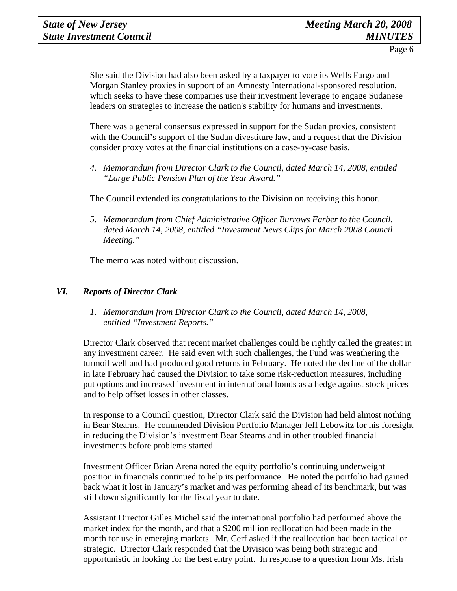She said the Division had also been asked by a taxpayer to vote its Wells Fargo and Morgan Stanley proxies in support of an Amnesty International-sponsored resolution, which seeks to have these companies use their investment leverage to engage Sudanese leaders on strategies to increase the nation's stability for humans and investments.

There was a general consensus expressed in support for the Sudan proxies, consistent with the Council's support of the Sudan divestiture law, and a request that the Division consider proxy votes at the financial institutions on a case-by-case basis.

*4. Memorandum from Director Clark to the Council, dated March 14, 2008, entitled "Large Public Pension Plan of the Year Award."* 

The Council extended its congratulations to the Division on receiving this honor.

*5. Memorandum from Chief Administrative Officer Burrows Farber to the Council, dated March 14, 2008, entitled "Investment News Clips for March 2008 Council Meeting."* 

The memo was noted without discussion.

# *VI. Reports of Director Clark*

 *1. Memorandum from Director Clark to the Council, dated March 14, 2008, entitled "Investment Reports."* 

Director Clark observed that recent market challenges could be rightly called the greatest in any investment career. He said even with such challenges, the Fund was weathering the turmoil well and had produced good returns in February. He noted the decline of the dollar in late February had caused the Division to take some risk-reduction measures, including put options and increased investment in international bonds as a hedge against stock prices and to help offset losses in other classes.

In response to a Council question, Director Clark said the Division had held almost nothing in Bear Stearns. He commended Division Portfolio Manager Jeff Lebowitz for his foresight in reducing the Division's investment Bear Stearns and in other troubled financial investments before problems started.

Investment Officer Brian Arena noted the equity portfolio's continuing underweight position in financials continued to help its performance. He noted the portfolio had gained back what it lost in January's market and was performing ahead of its benchmark, but was still down significantly for the fiscal year to date.

Assistant Director Gilles Michel said the international portfolio had performed above the market index for the month, and that a \$200 million reallocation had been made in the month for use in emerging markets. Mr. Cerf asked if the reallocation had been tactical or strategic. Director Clark responded that the Division was being both strategic and opportunistic in looking for the best entry point. In response to a question from Ms. Irish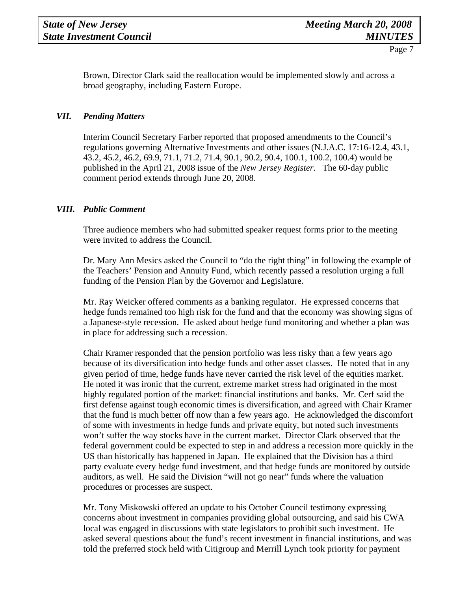Brown, Director Clark said the reallocation would be implemented slowly and across a broad geography, including Eastern Europe.

# *VII. Pending Matters*

Interim Council Secretary Farber reported that proposed amendments to the Council's regulations governing Alternative Investments and other issues (N.J.A.C. 17:16-12.4, 43.1, 43.2, 45.2, 46.2, 69.9, 71.1, 71.2, 71.4, 90.1, 90.2, 90.4, 100.1, 100.2, 100.4) would be published in the April 21, 2008 issue of the *New Jersey Register.* The 60-day public comment period extends through June 20, 2008.

# *VIII. Public Comment*

Three audience members who had submitted speaker request forms prior to the meeting were invited to address the Council.

Dr. Mary Ann Mesics asked the Council to "do the right thing" in following the example of the Teachers' Pension and Annuity Fund, which recently passed a resolution urging a full funding of the Pension Plan by the Governor and Legislature.

Mr. Ray Weicker offered comments as a banking regulator. He expressed concerns that hedge funds remained too high risk for the fund and that the economy was showing signs of a Japanese-style recession. He asked about hedge fund monitoring and whether a plan was in place for addressing such a recession.

Chair Kramer responded that the pension portfolio was less risky than a few years ago because of its diversification into hedge funds and other asset classes. He noted that in any given period of time, hedge funds have never carried the risk level of the equities market. He noted it was ironic that the current, extreme market stress had originated in the most highly regulated portion of the market: financial institutions and banks. Mr. Cerf said the first defense against tough economic times is diversification, and agreed with Chair Kramer that the fund is much better off now than a few years ago. He acknowledged the discomfort of some with investments in hedge funds and private equity, but noted such investments won't suffer the way stocks have in the current market. Director Clark observed that the federal government could be expected to step in and address a recession more quickly in the US than historically has happened in Japan. He explained that the Division has a third party evaluate every hedge fund investment, and that hedge funds are monitored by outside auditors, as well. He said the Division "will not go near" funds where the valuation procedures or processes are suspect.

Mr. Tony Miskowski offered an update to his October Council testimony expressing concerns about investment in companies providing global outsourcing, and said his CWA local was engaged in discussions with state legislators to prohibit such investment. He asked several questions about the fund's recent investment in financial institutions, and was told the preferred stock held with Citigroup and Merrill Lynch took priority for payment